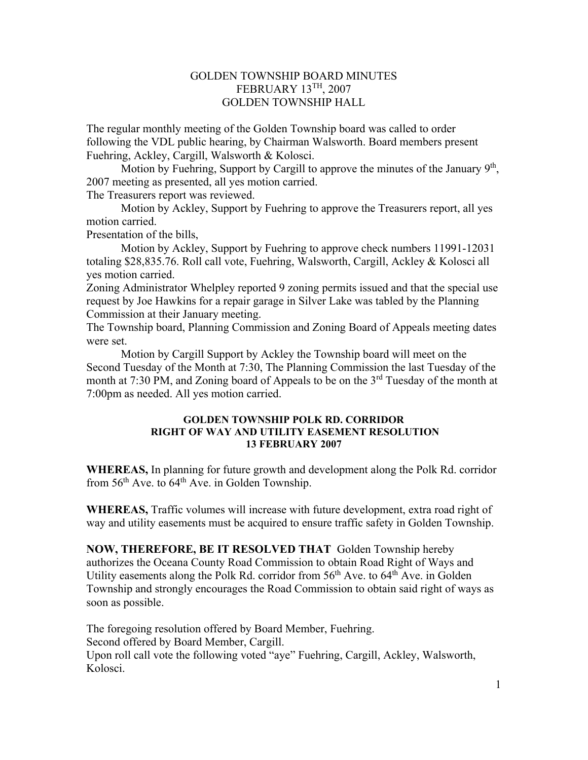## GOLDEN TOWNSHIP BOARD MINUTES FEBRUARY 13TH, 2007 GOLDEN TOWNSHIP HALL

The regular monthly meeting of the Golden Township board was called to order following the VDL public hearing, by Chairman Walsworth. Board members present Fuehring, Ackley, Cargill, Walsworth & Kolosci.

Motion by Fuehring, Support by Cargill to approve the minutes of the January  $9<sup>th</sup>$ , 2007 meeting as presented, all yes motion carried.

The Treasurers report was reviewed.

 Motion by Ackley, Support by Fuehring to approve the Treasurers report, all yes motion carried.

Presentation of the bills,

 Motion by Ackley, Support by Fuehring to approve check numbers 11991-12031 totaling \$28,835.76. Roll call vote, Fuehring, Walsworth, Cargill, Ackley & Kolosci all yes motion carried.

Zoning Administrator Whelpley reported 9 zoning permits issued and that the special use request by Joe Hawkins for a repair garage in Silver Lake was tabled by the Planning Commission at their January meeting.

The Township board, Planning Commission and Zoning Board of Appeals meeting dates were set.

 Motion by Cargill Support by Ackley the Township board will meet on the Second Tuesday of the Month at 7:30, The Planning Commission the last Tuesday of the month at 7:30 PM, and Zoning board of Appeals to be on the  $3<sup>rd</sup>$  Tuesday of the month at 7:00pm as needed. All yes motion carried.

## **GOLDEN TOWNSHIP POLK RD. CORRIDOR RIGHT OF WAY AND UTILITY EASEMENT RESOLUTION 13 FEBRUARY 2007**

**WHEREAS,** In planning for future growth and development along the Polk Rd. corridor from  $56<sup>th</sup>$  Ave. to  $64<sup>th</sup>$  Ave. in Golden Township.

**WHEREAS,** Traffic volumes will increase with future development, extra road right of way and utility easements must be acquired to ensure traffic safety in Golden Township.

**NOW, THEREFORE, BE IT RESOLVED THAT** Golden Township hereby authorizes the Oceana County Road Commission to obtain Road Right of Ways and Utility easements along the Polk Rd. corridor from  $56<sup>th</sup>$  Ave. to  $64<sup>th</sup>$  Ave. in Golden Township and strongly encourages the Road Commission to obtain said right of ways as soon as possible.

The foregoing resolution offered by Board Member, Fuehring. Second offered by Board Member, Cargill. Upon roll call vote the following voted "aye" Fuehring, Cargill, Ackley, Walsworth, Kolosci.